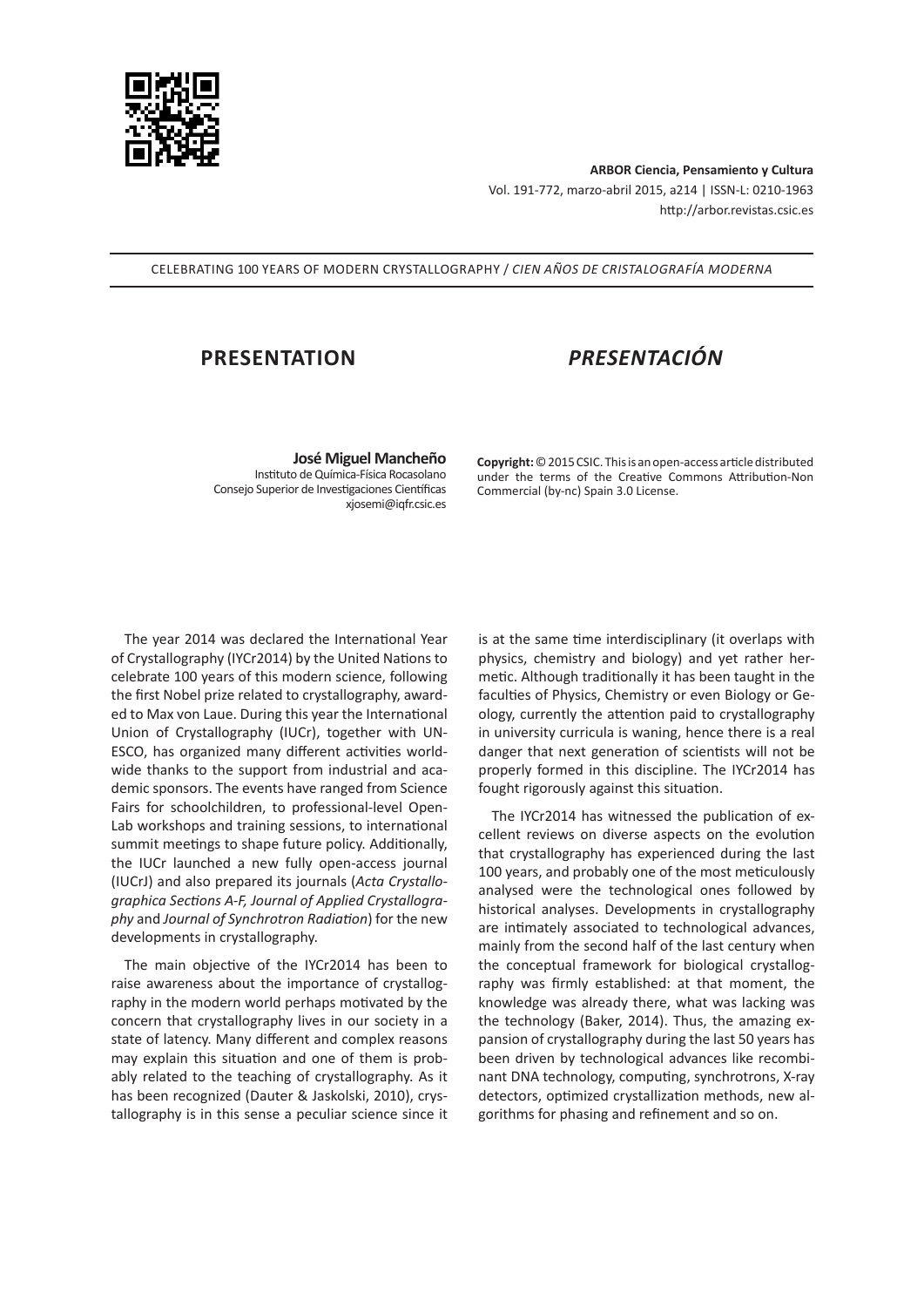

**ARBOR Ciencia, Pensamiento y Cultura** Vol. 191-772, marzo-abril 2015, a214 | ISSN-L: 0210-1963 http://arbor.revistas.csic.es

CELEBRATING 100 YEARS OF MODERN CRYSTALLOGRAPHY / *CIEN AÑOS DE CRISTALOGRAFÍA MODERNA*

## **PRESENTATION** *PRESENTACIÓN*

**José Miguel Mancheño** Instituto de Química-Física Rocasolano Consejo Superior de Investigaciones Científicas xjosemi@iqfr.csic.es

**Copyright:** © 2015 CSIC. This is an open-access article distributed under the terms of the Creative Commons Attribution-Non Commercial (by-nc) Spain 3.0 License.

The year 2014 was declared the International Year of Crystallography (IYCr2014) by the United Nations to celebrate 100 years of this modern science, following the first Nobel prize related to crystallography, awarded to Max von Laue. During this year the International Union of Crystallography (IUCr), together with UN-ESCO, has organized many different activities worldwide thanks to the support from industrial and academic sponsors. The events have ranged from Science Fairs for schoolchildren, to professional-level Open-Lab workshops and training sessions, to international summit meetings to shape future policy. Additionally, the IUCr launched a new fully open-access journal (IUCrJ) and also prepared its journals (*Acta Crystallographica Sections A-F, Journal of Applied Crystallography* and *Journal of Synchrotron Radiation*) for the new developments in crystallography.

The main objective of the IYCr2014 has been to raise awareness about the importance of crystallography in the modern world perhaps motivated by the concern that crystallography lives in our society in a state of latency. Many different and complex reasons may explain this situation and one of them is probably related to the teaching of crystallography. As it has been recognized (Dauter & Jaskolski, 2010), crystallography is in this sense a peculiar science since it is at the same time interdisciplinary (it overlaps with physics, chemistry and biology) and yet rather hermetic. Although traditionally it has been taught in the faculties of Physics, Chemistry or even Biology or Geology, currently the attention paid to crystallography in university curricula is waning, hence there is a real danger that next generation of scientists will not be properly formed in this discipline. The IYCr2014 has fought rigorously against this situation.

The IYCr2014 has witnessed the publication of excellent reviews on diverse aspects on the evolution that crystallography has experienced during the last 100 years, and probably one of the most meticulously analysed were the technological ones followed by historical analyses. Developments in crystallography are intimately associated to technological advances, mainly from the second half of the last century when the conceptual framework for biological crystallography was firmly established: at that moment, the knowledge was already there, what was lacking was the technology (Baker, 2014). Thus, the amazing expansion of crystallography during the last 50 years has been driven by technological advances like recombinant DNA technology, computing, synchrotrons, X-ray detectors, optimized crystallization methods, new algorithms for phasing and refinement and so on.